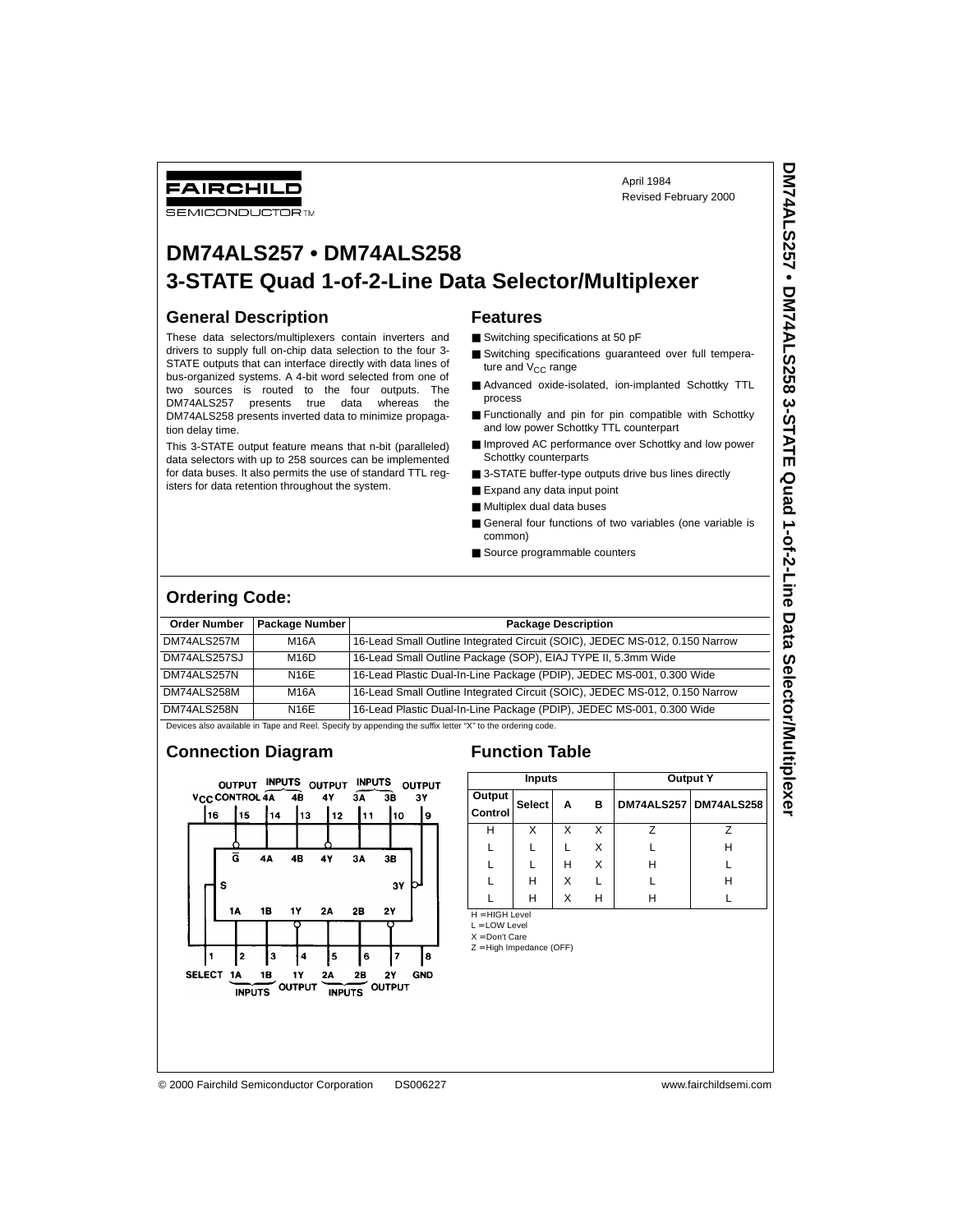FAIRCHILD

### **SEMICONDUCTOR IM**

April 1984 Revised February 2000

# **DM74ALS257 • DM74ALS258 3-STATE Quad 1-of-2-Line Data Selector/Multiplexer**

### **General Description**

These data selectors/multiplexers contain inverters and drivers to supply full on-chip data selection to the four 3- STATE outputs that can interface directly with data lines of bus-organized systems. A 4-bit word selected from one of two sources is routed to the four outputs. The DM74ALS257 presents true data whereas the DM74ALS258 presents inverted data to minimize propagation delay time.

This 3-STATE output feature means that n-bit (paralleled) data selectors with up to 258 sources can be implemented for data buses. It also permits the use of standard TTL registers for data retention throughout the system.

## **Features**

- Switching specifications at 50 pF
- Switching specifications guaranteed over full temperature and  $V_{CC}$  range
- Advanced oxide-isolated, ion-implanted Schottky TTL process
- Functionally and pin for pin compatible with Schottky and low power Schottky TTL counterpart
- Improved AC performance over Schottky and low power Schottky counterparts
- 3-STATE buffer-type outputs drive bus lines directly
- Expand any data input point
- Multiplex dual data buses
- General four functions of two variables (one variable is common)
- Source programmable counters

### **Ordering Code:**

| <b>Order Number</b> | <b>Package Number</b> | <b>Package Description</b>                                                  |
|---------------------|-----------------------|-----------------------------------------------------------------------------|
| DM74ALS257M         | M16A                  | 16-Lead Small Outline Integrated Circuit (SOIC), JEDEC MS-012, 0.150 Narrow |
| DM74ALS257SJ        | M16D                  | 16-Lead Small Outline Package (SOP), EIAJ TYPE II, 5.3mm Wide               |
| DM74ALS257N         | <b>N16E</b>           | 16-Lead Plastic Dual-In-Line Package (PDIP), JEDEC MS-001, 0.300 Wide       |
| DM74ALS258M         | <b>M16A</b>           | 16-Lead Small Outline Integrated Circuit (SOIC), JEDEC MS-012, 0.150 Narrow |
| DM74ALS258N         | <b>N16E</b>           | 16-Lead Plastic Dual-In-Line Package (PDIP), JEDEC MS-001, 0.300 Wide       |

Devices also available in Tape and Reel. Specify by appending the suffix letter "X" to the ordering code.

### **Connection Diagram Function Table**



|                          | <b>Inputs</b> |   |   | <b>Output Y</b> |                       |
|--------------------------|---------------|---|---|-----------------|-----------------------|
| Output<br>Control Select |               | A | в |                 | DM74ALS257 DM74ALS258 |
|                          |               | x | X |                 |                       |
|                          |               |   | X |                 | н                     |
|                          |               | н | X | н               |                       |
|                          | н             | X |   |                 | Н                     |
|                          | Н             |   | н |                 |                       |

H = HIGH Level L = LOW Level

X = Don't Care

Z = High Impedance (OFF)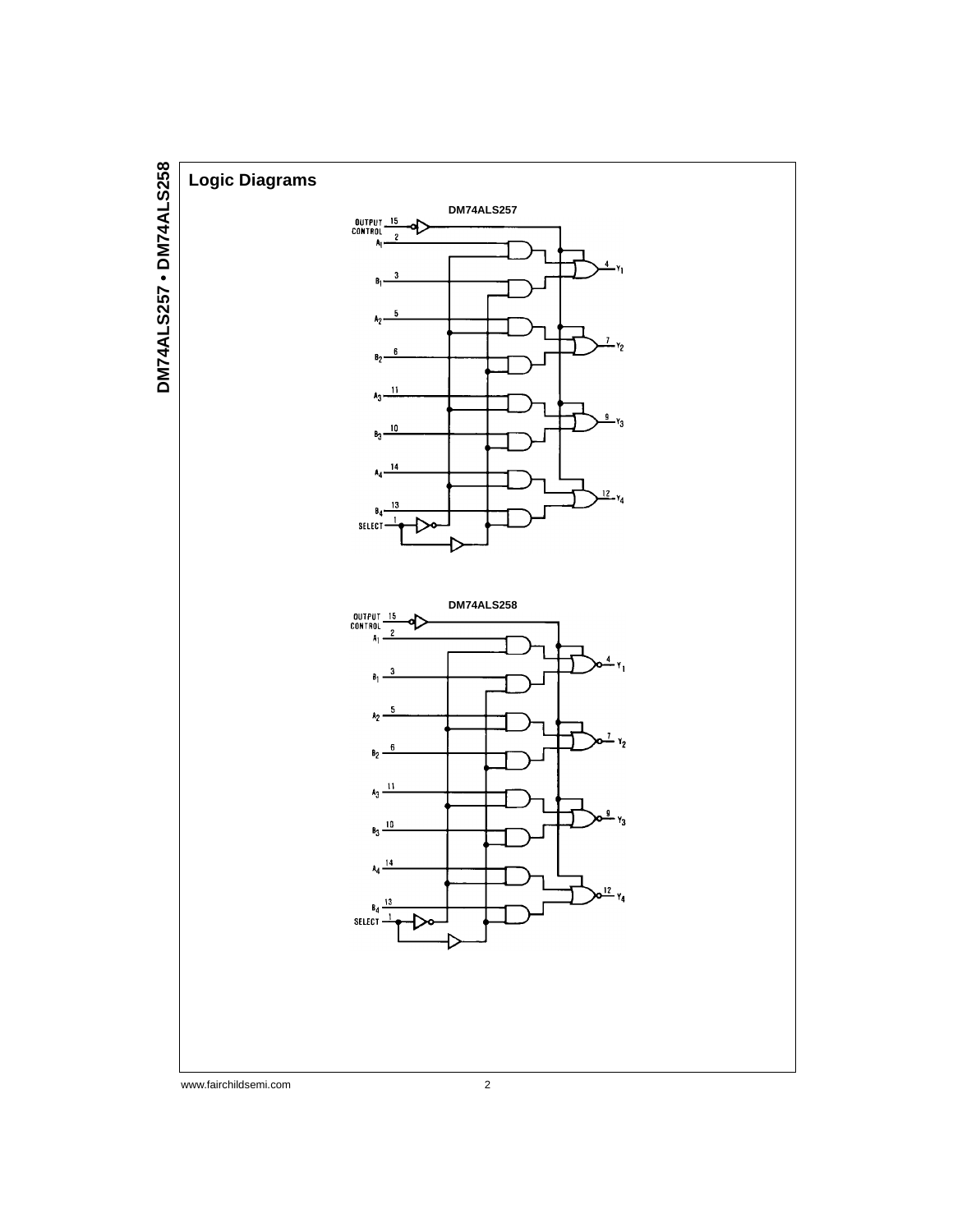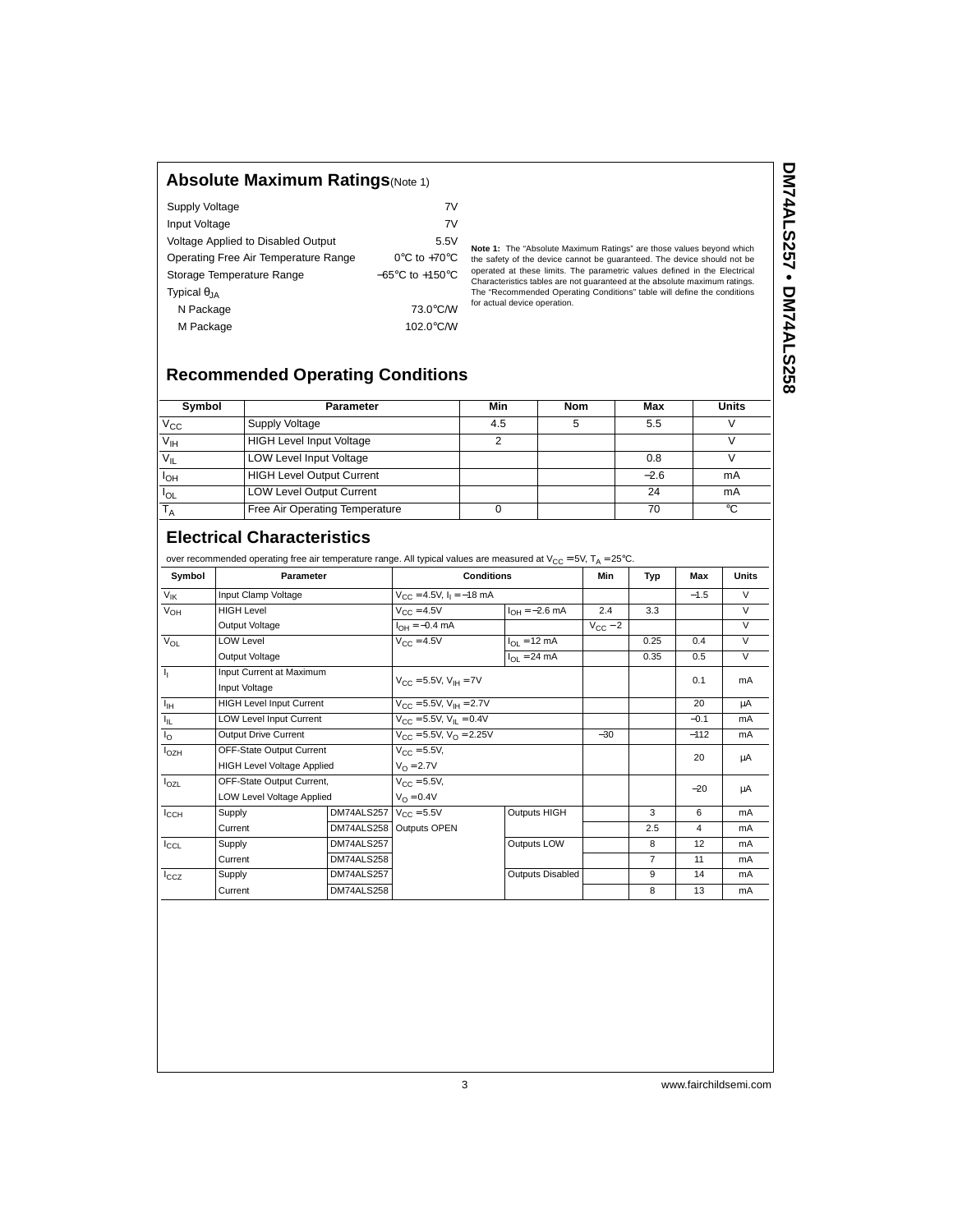## **Absolute Maximum Ratings**(Note 1)

| <b>Supply Voltage</b>                | 7V                                  |
|--------------------------------------|-------------------------------------|
| Input Voltage                        | 7V                                  |
| Voltage Applied to Disabled Output   | 5.5V                                |
| Operating Free Air Temperature Range | $0^{\circ}$ C to +70 $^{\circ}$ C   |
| Storage Temperature Range            | $-65^{\circ}$ C to $+150^{\circ}$ C |
| Typical $\theta_{IA}$                |                                     |
| N Package                            | 73.0°C/W                            |
| M Package                            | 102.0°C/W                           |

**Note 1:** The "Absolute Maximum Ratings" are those values beyond which<br>the safety of the device cannot be guaranteed. The device should not be<br>operated at these limits. The parametric values defined in the Electrical<br>Chara for actual device operation.

# **Recommended Operating Conditions**

| Symbol                     | <b>Parameter</b>                 | Min | <b>Nom</b> | Max    | <b>Units</b> |
|----------------------------|----------------------------------|-----|------------|--------|--------------|
| $V_{\rm CC}$               | Supply Voltage                   | 4.5 |            | 5.5    |              |
| $\overline{V_{\text{IH}}}$ | <b>HIGH Level Input Voltage</b>  |     |            |        |              |
| $V_{IL}$                   | <b>LOW Level Input Voltage</b>   |     |            | 0.8    |              |
| $I_{OH}$                   | <b>HIGH Level Output Current</b> |     |            | $-2.6$ | mA           |
| $I_{OL}$                   | <b>LOW Level Output Current</b>  |     |            | 24     | mA           |
|                            | Free Air Operating Temperature   |     |            | 70     | °C           |

# **Electrical Characteristics**

over a commented operation free air temperature range. All typical values are measured at Vcc = 5V, T

| Symbol            | Parameter                         |            | <b>Conditions</b>                               |                                | Min          | Typ            | Max    | <b>Units</b>            |
|-------------------|-----------------------------------|------------|-------------------------------------------------|--------------------------------|--------------|----------------|--------|-------------------------|
| $V_{\mathsf{IK}}$ | Input Clamp Voltage               |            | $V_{CC} = 4.5V$ , $I_1 = -18$ mA                |                                |              |                | $-1.5$ | $\vee$                  |
| $V_{OH}$          | <b>HIGH Level</b>                 |            | $V_{\text{CC}} = 4.5V$                          | $I_{OH} = -2.6$ mA             | 2.4          | 3.3            |        | $\vee$                  |
|                   | Output Voltage                    |            | $I_{OH} = -0.4$ mA                              |                                | $V_{CC}$ – 2 |                |        | V                       |
| $V_{OL}$          | <b>LOW Level</b>                  |            | $V_{CC} = 4.5V$                                 | $I_{\Omega I} = 12 \text{ mA}$ |              | 0.25           | 0.4    | $\overline{\mathsf{v}}$ |
|                   | Output Voltage                    |            |                                                 | $I_{\Omega I} = 24 \text{ mA}$ |              | 0.35           | 0.5    | V                       |
| ı,                | Input Current at Maximum          |            |                                                 |                                |              |                | 0.1    |                         |
|                   | Input Voltage                     |            | $V_{\text{CC}} = 5.5V$ , $V_{\text{IH}} = 7V$   |                                |              |                |        | mA                      |
| $I_{\rm{H}}$      | <b>HIGH Level Input Current</b>   |            | $V_{\text{CC}} = 5.5V$ , $V_{\text{IH}} = 2.7V$ |                                |              |                | 20     | μA                      |
| Ιщ.               | <b>LOW Level Input Current</b>    |            | $V_{\text{CC}} = 5.5V, V_{\text{II}} = 0.4V$    |                                |              |                | $-0.1$ | mA                      |
| l <sub>O</sub>    | <b>Output Drive Current</b>       |            | $V_{\text{CC}} = 5.5V$ , $V_{\text{O}} = 2.25V$ |                                | $-30$        |                | $-112$ | mA                      |
| $I_{OZH}$         | OFF-State Output Current          |            | $V_{CC} = 5.5V,$                                |                                |              |                | 20     | μA                      |
|                   | <b>HIGH Level Voltage Applied</b> |            | $V_{\Omega} = 2.7V$                             |                                |              |                |        |                         |
| $I_{OZL}$         | OFF-State Output Current,         |            | $V_{C} = 5.5V,$                                 |                                |              |                | $-20$  | μA                      |
|                   | LOW Level Voltage Applied         |            | $V_{\Omega} = 0.4V$                             |                                |              |                |        |                         |
| $I_{\rm CCH}$     | Supply                            | DM74ALS257 | $V_{\text{CC}} = 5.5V$                          | Outputs HIGH                   |              | 3              | 6      | mA                      |
|                   | Current                           |            | DM74ALS258 Outputs OPEN                         |                                |              | 2.5            | 4      | mA                      |
| $I_{CCL}$         | Supply                            | DM74ALS257 |                                                 | Outputs LOW                    |              | 8              | 12     | mA                      |
|                   | Current                           | DM74ALS258 |                                                 |                                |              | $\overline{7}$ | 11     | mA                      |
| $I_{CCZ}$         | Supply                            | DM74ALS257 |                                                 | Outputs Disabled               |              | 9              | 14     | mA                      |
|                   | Current                           | DM74ALS258 |                                                 |                                |              | 8              | 13     | mA                      |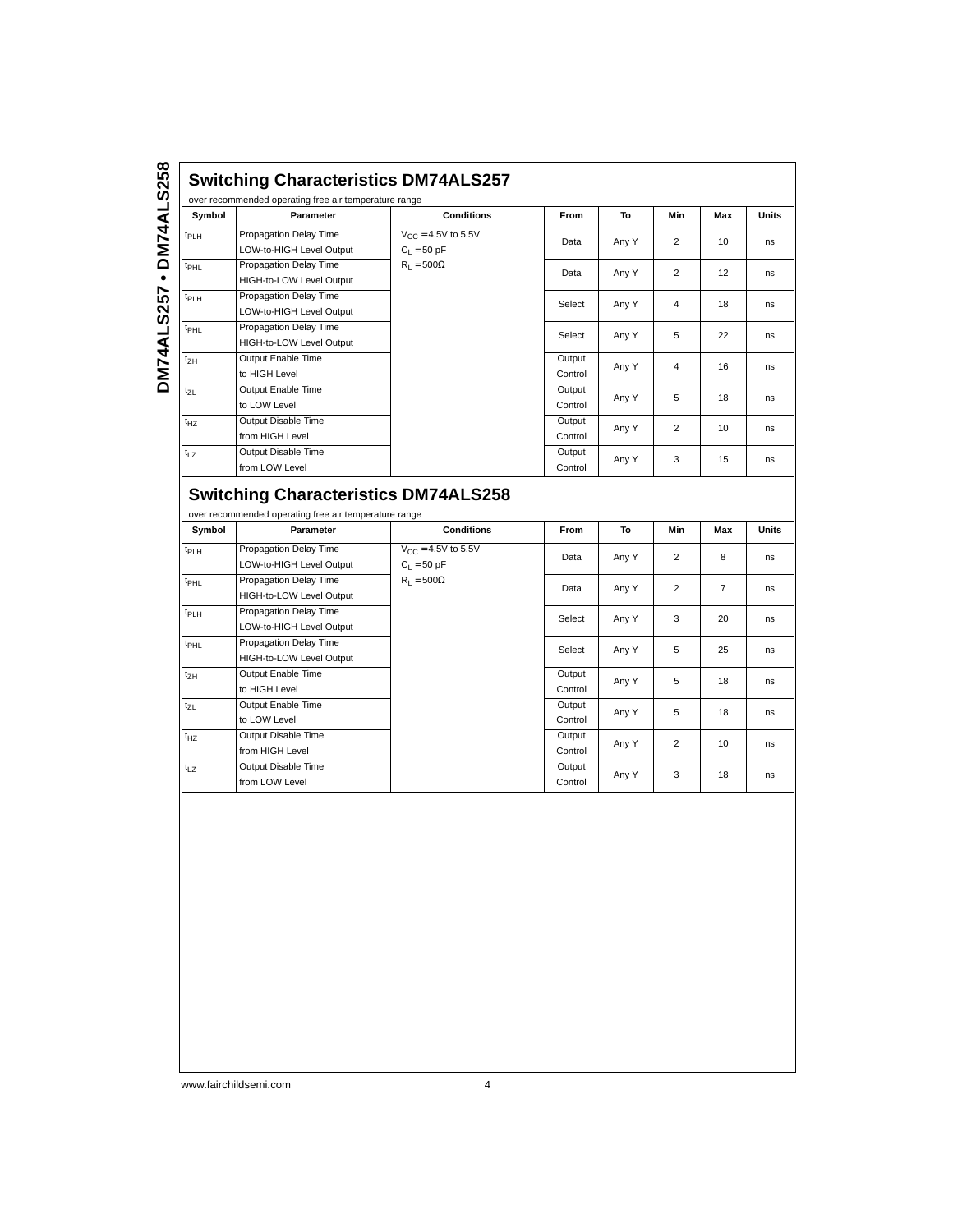|                  | Parameter                                                                                            | <b>Conditions</b>       | From              | To    | Min                     | Max            | Units          |
|------------------|------------------------------------------------------------------------------------------------------|-------------------------|-------------------|-------|-------------------------|----------------|----------------|
| t <sub>PLH</sub> | Propagation Delay Time                                                                               | $V_{CC} = 4.5V$ to 5.5V | Data              | Any Y | $\overline{c}$          | 10             | ns             |
|                  | LOW-to-HIGH Level Output                                                                             | $C_L = 50$ pF           |                   |       |                         |                |                |
| <sup>t</sup> PHL | Propagation Delay Time                                                                               | $R_1 = 500\Omega$       | Data              | Any Y | $\overline{\mathbf{c}}$ | 12             | ns             |
|                  | HIGH-to-LOW Level Output                                                                             |                         |                   |       |                         |                |                |
| t <sub>PLH</sub> | Propagation Delay Time                                                                               |                         | Select            | Any Y | $\sqrt{4}$              | 18             | ns             |
|                  | LOW-to-HIGH Level Output                                                                             |                         |                   |       |                         |                |                |
| t <sub>PHL</sub> | Propagation Delay Time                                                                               |                         | Select            | Any Y | 5                       | 22             | ns             |
|                  | HIGH-to-LOW Level Output                                                                             |                         |                   |       |                         |                |                |
| t <sub>ZH</sub>  | Output Enable Time                                                                                   |                         | Output            | Any Y | $\sqrt{4}$              | 16             | ns             |
|                  | to HIGH Level                                                                                        |                         | Control           |       |                         |                |                |
| t <sub>ZL</sub>  | Output Enable Time                                                                                   |                         | Output            | Any Y | 5                       | 18             | ns             |
|                  | to LOW Level                                                                                         |                         | Control           |       |                         |                |                |
| $t_{HZ}$         | Output Disable Time                                                                                  |                         | Output            | Any Y | $\overline{c}$          | 10             | ns             |
|                  | from HIGH Level                                                                                      |                         | Control           |       |                         |                |                |
| $t_{LZ}$         | Output Disable Time                                                                                  |                         | Output            |       |                         |                |                |
|                  | from LOW Level                                                                                       |                         | Control           | Any Y | 3                       | 15             | ns             |
|                  | <b>Switching Characteristics DM74ALS258</b><br>over recommended operating free air temperature range |                         |                   |       |                         |                |                |
| Symbol           | Parameter                                                                                            | <b>Conditions</b>       | From              | To    | Min                     | Max            | Units          |
| t <sub>РLН</sub> | Propagation Delay Time                                                                               | $V_{CC} = 4.5V$ to 5.5V | Data              | Any Y | $\overline{2}$          | 8              | ns             |
|                  | LOW-to-HIGH Level Output                                                                             | $C_L = 50$ pF           |                   |       |                         |                |                |
| t <sub>PHL</sub> | Propagation Delay Time                                                                               | $R_L = 500\Omega$       | Data              | Any Y | $\overline{2}$          | $\overline{7}$ | ns             |
|                  | HIGH-to-LOW Level Output                                                                             |                         |                   |       |                         |                |                |
| t <sub>PLH</sub> | Propagation Delay Time                                                                               |                         | Select            | Any Y | 3                       | 20             | ns             |
|                  | LOW-to-HIGH Level Output                                                                             |                         |                   |       |                         |                |                |
| $t_{\sf PHL}$    | Propagation Delay Time                                                                               |                         | Select            | Any Y | 5                       | 25             | ns             |
|                  | HIGH-to-LOW Level Output                                                                             |                         |                   |       |                         |                |                |
|                  | Output Enable Time                                                                                   |                         | Output            | Any Y | 5                       | 18             | ns             |
| t <sub>ZН</sub>  |                                                                                                      |                         | Control           |       |                         |                |                |
|                  | to HIGH Level                                                                                        |                         |                   |       |                         |                |                |
| t <sub>ZL</sub>  | Output Enable Time                                                                                   |                         | Output            | Any Y | 5                       | 18             |                |
|                  | to LOW Level                                                                                         |                         | Control           |       |                         |                |                |
| t <sub>ΗZ</sub>  | Output Disable Time                                                                                  |                         | Output            | Any Y | $\overline{c}$          | 10             |                |
|                  | from HIGH Level                                                                                      |                         | Control           |       |                         |                |                |
| t <sub>LΖ</sub>  | Output Disable Time<br>from LOW Level                                                                |                         | Output<br>Control | Any Y | 3                       | 18             | ns<br>ns<br>ns |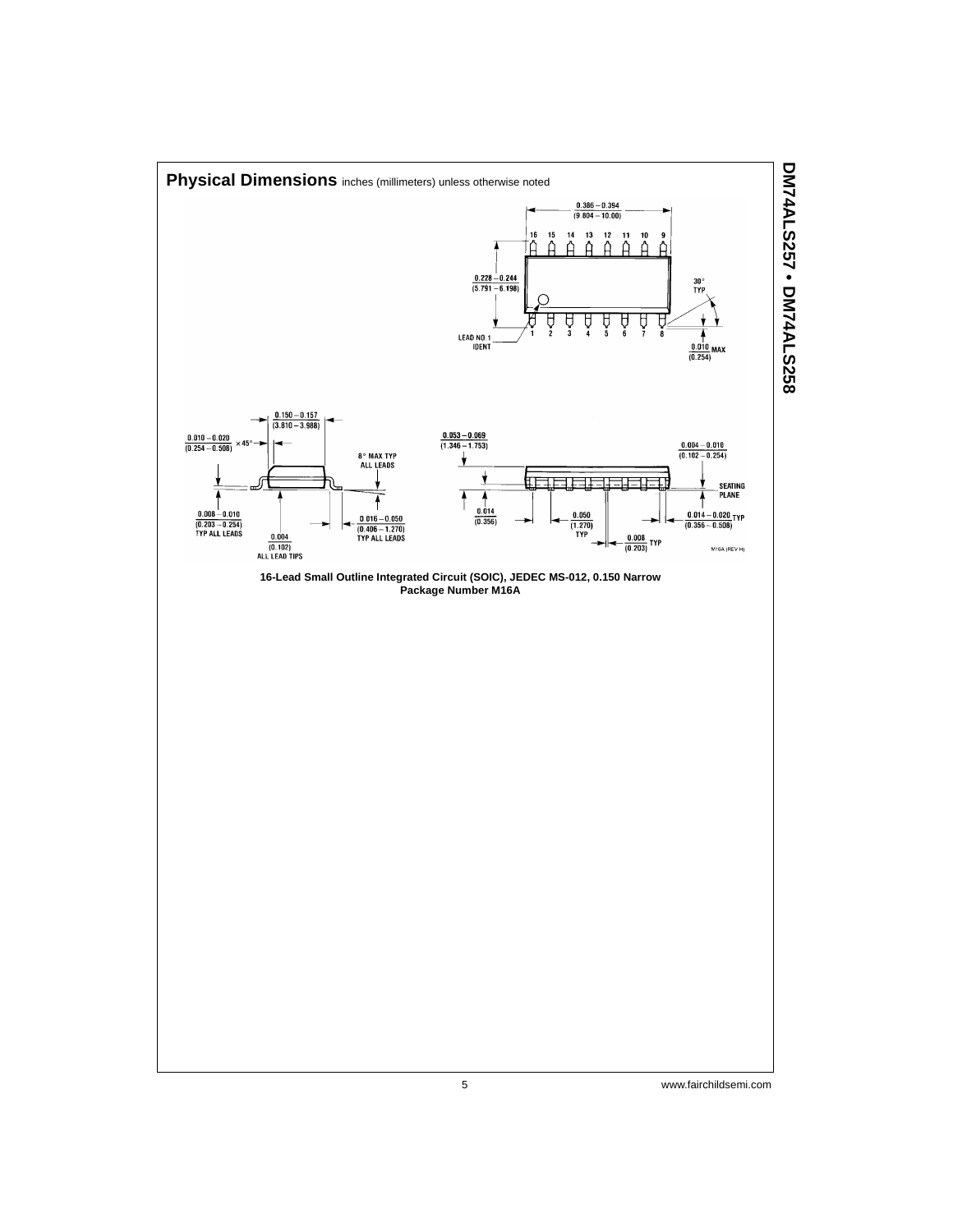

### 5 www.fairchildsemi.com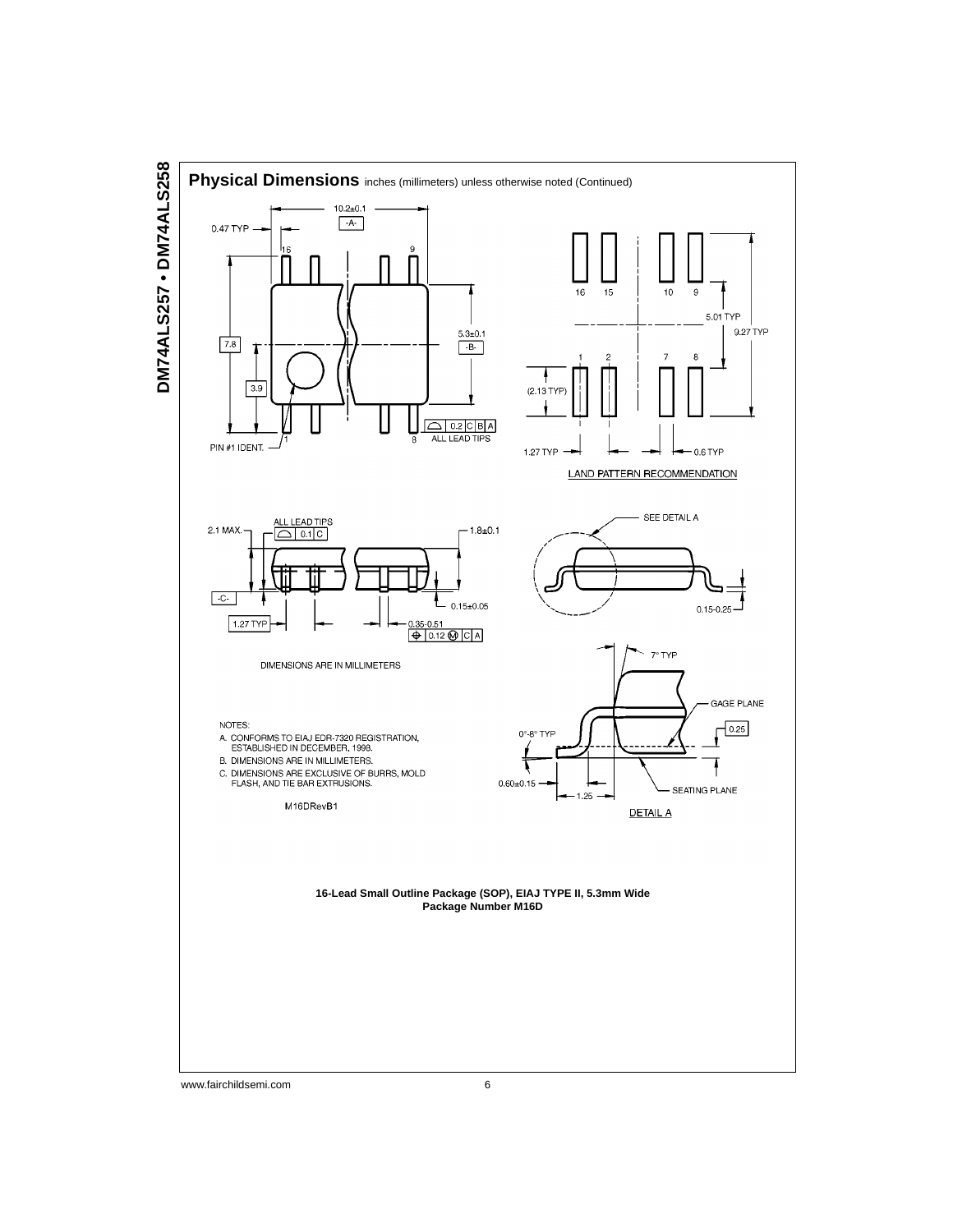